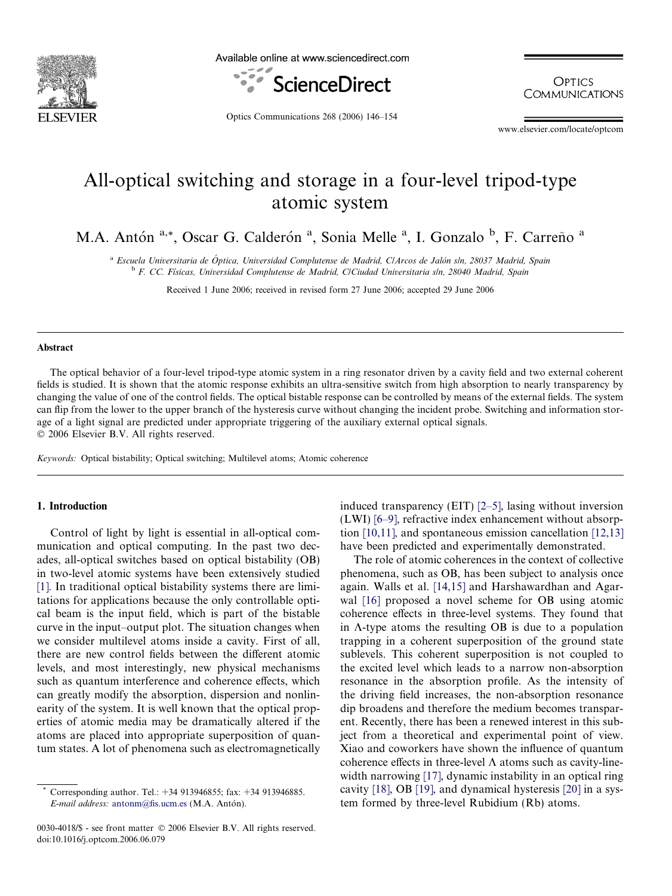

Available online at www.sciencedirect.com



**OPTICS COMMUNICATIONS** 

Optics Communications 268 (2006) 146–154

www.elsevier.com/locate/optcom

# All-optical switching and storage in a four-level tripod-type atomic system

M.A. Antón <sup>a,\*</sup>, Oscar G. Calderón <sup>a</sup>, Sonia Melle <sup>a</sup>, I. Gonzalo <sup>b</sup>, F. Carreño <sup>a</sup>

<sup>a</sup> Escuela Universitaria de Óptica, Universidad Complutense de Madrid, C/Arcos de Jalón s/n, 28037 Madrid, Spain <sup>b</sup> F. CC. Físicas, Universidad Complutense de Madrid, C/Ciudad Universitaria s/n, 28040 Madrid, Spain

Received 1 June 2006; received in revised form 27 June 2006; accepted 29 June 2006

### Abstract

The optical behavior of a four-level tripod-type atomic system in a ring resonator driven by a cavity field and two external coherent fields is studied. It is shown that the atomic response exhibits an ultra-sensitive switch from high absorption to nearly transparency by changing the value of one of the control fields. The optical bistable response can be controlled by means of the external fields. The system can flip from the lower to the upper branch of the hysteresis curve without changing the incident probe. Switching and information storage of a light signal are predicted under appropriate triggering of the auxiliary external optical signals. © 2006 Elsevier B.V. All rights reserved.

Keywords: Optical bistability; Optical switching; Multilevel atoms; Atomic coherence

# 1. Introduction

Control of light by light is essential in all-optical communication and optical computing. In the past two decades, all-optical switches based on optical bistability (OB) in two-level atomic systems have been extensively studied [\[1\]](#page-8-0). In traditional optical bistability systems there are limitations for applications because the only controllable optical beam is the input field, which is part of the bistable curve in the input–output plot. The situation changes when we consider multilevel atoms inside a cavity. First of all, there are new control fields between the different atomic levels, and most interestingly, new physical mechanisms such as quantum interference and coherence effects, which can greatly modify the absorption, dispersion and nonlinearity of the system. It is well known that the optical properties of atomic media may be dramatically altered if the atoms are placed into appropriate superposition of quantum states. A lot of phenomena such as electromagnetically

0030-4018/\$ - see front matter © 2006 Elsevier B.V. All rights reserved. doi:10.1016/j.optcom.2006.06.079

induced transparency (EIT) [\[2–5\],](#page-8-0) lasing without inversion (LWI) [\[6–9\],](#page-8-0) refractive index enhancement without absorption [\[10,11\],](#page-8-0) and spontaneous emission cancellation [\[12,13\]](#page-8-0) have been predicted and experimentally demonstrated.

The role of atomic coherences in the context of collective phenomena, such as OB, has been subject to analysis once again. Walls et al. [\[14,15\]](#page-8-0) and Harshawardhan and Agarwal [\[16\]](#page-8-0) proposed a novel scheme for OB using atomic coherence effects in three-level systems. They found that in  $\Lambda$ -type atoms the resulting OB is due to a population trapping in a coherent superposition of the ground state sublevels. This coherent superposition is not coupled to the excited level which leads to a narrow non-absorption resonance in the absorption profile. As the intensity of the driving field increases, the non-absorption resonance dip broadens and therefore the medium becomes transparent. Recently, there has been a renewed interest in this subject from a theoretical and experimental point of view. Xiao and coworkers have shown the influence of quantum coherence effects in three-level  $\Lambda$  atoms such as cavity-line-width narrowing [\[17\],](#page-8-0) dynamic instability in an optical ring cavity [\[18\]](#page-8-0), OB [\[19\],](#page-8-0) and dynamical hysteresis [\[20\]](#page-8-0) in a system formed by three-level Rubidium (Rb) atoms.

Corresponding author. Tel.: +34 913946855; fax: +34 913946885. E-mail address: [antonm@fis.ucm.es](mailto:antonm@fis.ucm.es) (M.A. Antón).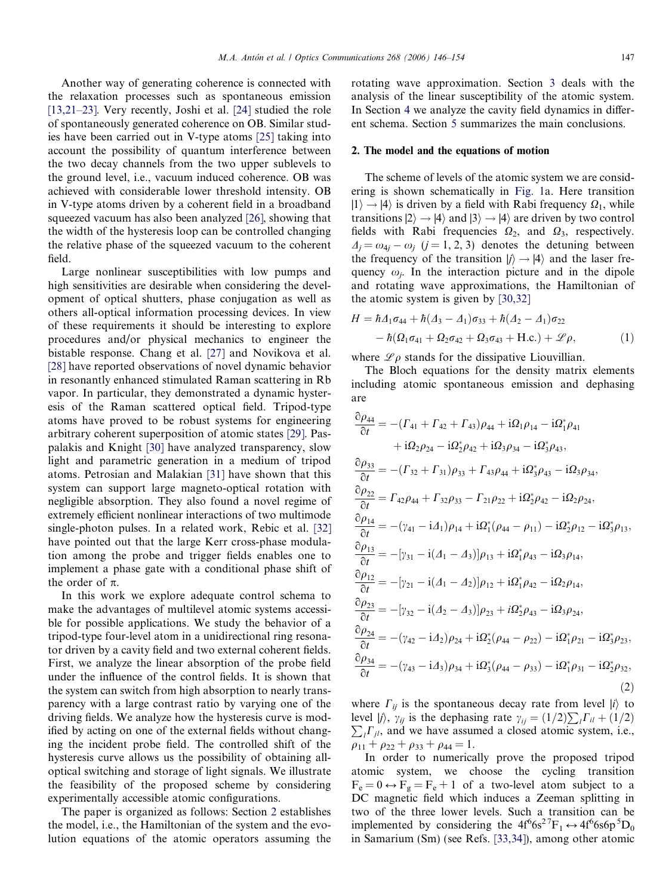<span id="page-1-0"></span>Another way of generating coherence is connected with the relaxation processes such as spontaneous emission [\[13,21–23\].](#page-8-0) Very recently, Joshi et al. [\[24\]](#page-8-0) studied the role of spontaneously generated coherence on OB. Similar studies have been carried out in V-type atoms [\[25\]](#page-8-0) taking into account the possibility of quantum interference between the two decay channels from the two upper sublevels to the ground level, i.e., vacuum induced coherence. OB was achieved with considerable lower threshold intensity. OB in V-type atoms driven by a coherent field in a broadband squeezed vacuum has also been analyzed [\[26\]](#page-8-0), showing that the width of the hysteresis loop can be controlled changing the relative phase of the squeezed vacuum to the coherent field.

Large nonlinear susceptibilities with low pumps and high sensitivities are desirable when considering the development of optical shutters, phase conjugation as well as others all-optical information processing devices. In view of these requirements it should be interesting to explore procedures and/or physical mechanics to engineer the bistable response. Chang et al. [\[27\]](#page-8-0) and Novikova et al. [\[28\]](#page-8-0) have reported observations of novel dynamic behavior in resonantly enhanced stimulated Raman scattering in Rb vapor. In particular, they demonstrated a dynamic hysteresis of the Raman scattered optical field. Tripod-type atoms have proved to be robust systems for engineering arbitrary coherent superposition of atomic states [\[29\].](#page-8-0) Paspalakis and Knight [\[30\]](#page-8-0) have analyzed transparency, slow light and parametric generation in a medium of tripod atoms. Petrosian and Malakian [\[31\]](#page-8-0) have shown that this system can support large magneto-optical rotation with negligible absorption. They also found a novel regime of extremely efficient nonlinear interactions of two multimode single-photon pulses. In a related work, Rebic et al. [\[32\]](#page-8-0) have pointed out that the large Kerr cross-phase modulation among the probe and trigger fields enables one to implement a phase gate with a conditional phase shift of the order of  $\pi$ .

In this work we explore adequate control schema to make the advantages of multilevel atomic systems accessible for possible applications. We study the behavior of a tripod-type four-level atom in a unidirectional ring resonator driven by a cavity field and two external coherent fields. First, we analyze the linear absorption of the probe field under the influence of the control fields. It is shown that the system can switch from high absorption to nearly transparency with a large contrast ratio by varying one of the driving fields. We analyze how the hysteresis curve is modified by acting on one of the external fields without changing the incident probe field. The controlled shift of the hysteresis curve allows us the possibility of obtaining alloptical switching and storage of light signals. We illustrate the feasibility of the proposed scheme by considering experimentally accessible atomic configurations.

The paper is organized as follows: Section 2 establishes the model, i.e., the Hamiltonian of the system and the evolution equations of the atomic operators assuming the rotating wave approximation. Section [3](#page-2-0) deals with the analysis of the linear susceptibility of the atomic system. In Section [4](#page-4-0) we analyze the cavity field dynamics in different schema. Section [5](#page-8-0) summarizes the main conclusions.

#### 2. The model and the equations of motion

The scheme of levels of the atomic system we are considering is shown schematically in [Fig. 1](#page-2-0)a. Here transition  $|1\rangle \rightarrow |4\rangle$  is driven by a field with Rabi frequency  $\Omega_1$ , while transitions  $|2\rangle \rightarrow |4\rangle$  and  $|3\rangle \rightarrow |4\rangle$  are driven by two control fields with Rabi frequencies  $\Omega_2$ , and  $\Omega_3$ , respectively.  $\Delta_j = \omega_{4j} - \omega_j$  (j = 1, 2, 3) denotes the detuning between the frequency of the transition  $|j\rangle \rightarrow |4\rangle$  and the laser frequency  $\omega_i$ . In the interaction picture and in the dipole and rotating wave approximations, the Hamiltonian of the atomic system is given by [\[30,32\]](#page-8-0)

$$
H = \hbar \Delta_1 \sigma_{44} + \hbar (\Delta_3 - \Delta_1) \sigma_{33} + \hbar (\Delta_2 - \Delta_1) \sigma_{22} - \hbar (\Omega_1 \sigma_{41} + \Omega_2 \sigma_{42} + \Omega_3 \sigma_{43} + \text{H.c.}) + \mathcal{L} \rho,
$$
 (1)

where  $\mathscr{L}\rho$  stands for the dissipative Liouvillian.

The Bloch equations for the density matrix elements including atomic spontaneous emission and dephasing are

$$
\frac{\partial \rho_{44}}{\partial t} = -(\Gamma_{41} + \Gamma_{42} + \Gamma_{43})\rho_{44} + i\Omega_{1}\rho_{14} - i\Omega_{1}^{*}\rho_{41} \n+ i\Omega_{2}\rho_{24} - i\Omega_{2}^{*}\rho_{42} + i\Omega_{3}\rho_{34} - i\Omega_{3}^{*}\rho_{43}, \n\frac{\partial \rho_{33}}{\partial t} = -( \Gamma_{32} + \Gamma_{31})\rho_{33} + \Gamma_{43}\rho_{44} + i\Omega_{3}^{*}\rho_{43} - i\Omega_{3}\rho_{34}, \n\frac{\partial \rho_{22}}{\partial t} = \Gamma_{42}\rho_{44} + \Gamma_{32}\rho_{33} - \Gamma_{21}\rho_{22} + i\Omega_{2}^{*}\rho_{42} - i\Omega_{2}\rho_{24}, \n\frac{\partial \rho_{14}}{\partial t} = -(\gamma_{41} - i\Delta_{1})\rho_{14} + i\Omega_{1}^{*}(\rho_{44} - \rho_{11}) - i\Omega_{2}^{*}\rho_{12} - i\Omega_{3}^{*}\rho_{13}, \n\frac{\partial \rho_{13}}{\partial t} = -[\gamma_{31} - i(\Delta_{1} - \Delta_{3})]\rho_{13} + i\Omega_{1}^{*}\rho_{43} - i\Omega_{3}\rho_{14}, \n\frac{\partial \rho_{12}}{\partial t} = -[\gamma_{21} - i(\Delta_{1} - \Delta_{2})]\rho_{12} + i\Omega_{1}^{*}\rho_{42} - i\Omega_{2}\rho_{14}, \n\frac{\partial \rho_{23}}{\partial t} = -[\gamma_{32} - i(\Delta_{2} - \Delta_{3})]\rho_{23} + i\Omega_{2}^{*}\rho_{43} - i\Omega_{3}\rho_{24}, \n\frac{\partial \rho_{24}}{\partial t} = -(\gamma_{42} - i\Delta_{2})\rho_{24} + i\Omega_{2}^{*}(\rho_{44} - \rho_{22}) - i\Omega_{1}^{*}\rho_{21} - i\Omega_{3}^{*}\rho_{23}, \n\frac{\partial \rho_{34}}{\partial t} = -(\gamma_{43} - i\Delta_{3})\rho_{34} + i\Omega_{3}^{*}(\rho_{44} - \rho_{33}) - i\Omega_{1}^{*}\rho_{
$$

where  $\Gamma_{ij}$  is the spontaneous decay rate from level  $|i\rangle$  to level  $|j\rangle$ ,  $\gamma_{ij}$  is the dephasing rate  $\gamma_{ij} = (1/2)\sum_i \Gamma_{ii} + (1/2)$  $\sum_{i} \Gamma_{ji}$ , and we have assumed a closed atomic system, i.e.,  $\rho_{11} + \rho_{22} + \rho_{33} + \rho_{44} = 1.$ 

In order to numerically prove the proposed tripod atomic system, we choose the cycling transition  $F_e = 0 \leftrightarrow F_g = F_e + 1$  of a two-level atom subject to a DC magnetic field which induces a Zeeman splitting in two of the three lower levels. Such a transition can be implemented by considering the  $4f^66s^2T_{1} \leftrightarrow 4f^66s6p^5D_0$ in Samarium (Sm) (see Refs. [\[33,34\]](#page-8-0)), among other atomic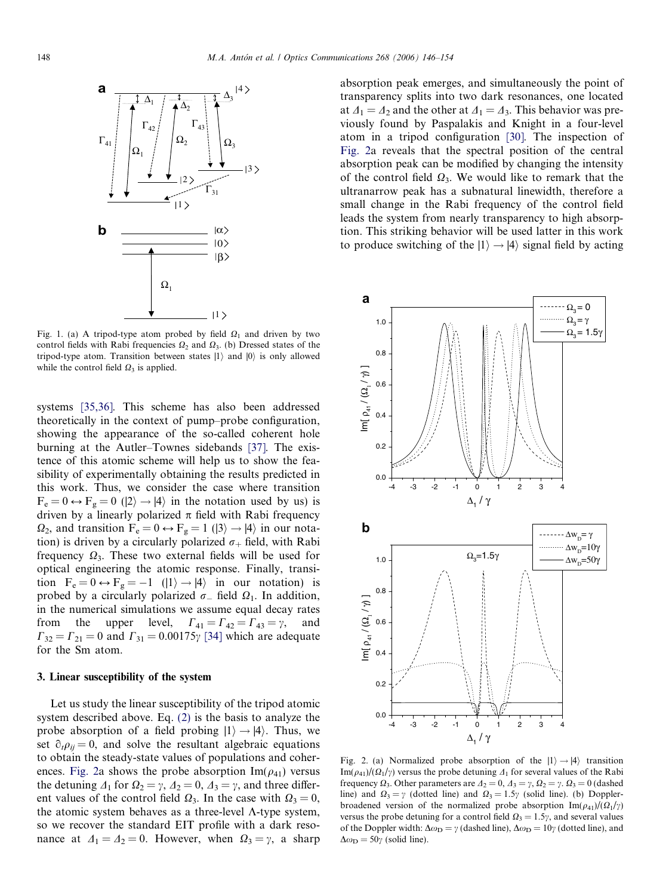<span id="page-2-0"></span>

Fig. 1. (a) A tripod-type atom probed by field  $\Omega_1$  and driven by two control fields with Rabi frequencies  $\Omega_2$  and  $\Omega_3$ . (b) Dressed states of the tripod-type atom. Transition between states  $|1\rangle$  and  $|0\rangle$  is only allowed while the control field  $\Omega_3$  is applied.

systems [\[35,36\].](#page-8-0) This scheme has also been addressed theoretically in the context of pump–probe configuration, showing the appearance of the so-called coherent hole burning at the Autler–Townes sidebands [\[37\]](#page-8-0). The existence of this atomic scheme will help us to show the feasibility of experimentally obtaining the results predicted in this work. Thus, we consider the case where transition  $F_e = 0 \leftrightarrow F_g = 0$  ( $|2\rangle \rightarrow |4\rangle$  in the notation used by us) is driven by a linearly polarized  $\pi$  field with Rabi frequency  $\Omega_2$ , and transition  $F_e = 0 \leftrightarrow F_g = 1$  ( $|3\rangle \rightarrow |4\rangle$ ) in our notation) is driven by a circularly polarized  $\sigma_+$  field, with Rabi frequency  $\Omega_3$ . These two external fields will be used for optical engineering the atomic response. Finally, transition  $F_e = 0 \leftrightarrow F_g = -1$  ( $|1\rangle \rightarrow |4\rangle$  in our notation) is probed by a circularly polarized  $\sigma_-$  field  $\Omega_1$ . In addition, in the numerical simulations we assume equal decay rates from the upper level,  $\Gamma_{41} = \Gamma_{42} = \Gamma_{43} = \gamma$ , and  $\Gamma_{32} = \Gamma_{21} = 0$  and  $\Gamma_{31} = 0.00175$  [\[34\]](#page-8-0) which are adequate for the Sm atom.

#### 3. Linear susceptibility of the system

Let us study the linear susceptibility of the tripod atomic system described above. Eq. [\(2\)](#page-1-0) is the basis to analyze the probe absorption of a field probing  $|1\rangle \rightarrow |4\rangle$ . Thus, we set  $\partial_t \rho_{ii} = 0$ , and solve the resultant algebraic equations to obtain the steady-state values of populations and coherences. Fig. 2a shows the probe absorption  $\text{Im}(\rho_{41})$  versus the detuning  $\Delta_1$  for  $\Omega_2 = \gamma$ ,  $\Delta_2 = 0$ ,  $\Delta_3 = \gamma$ , and three different values of the control field  $\Omega_3$ . In the case with  $\Omega_3 = 0$ , the atomic system behaves as a three-level  $\Lambda$ -type system, so we recover the standard EIT profile with a dark resonance at  $\Delta_1 = \Delta_2 = 0$ . However, when  $\Omega_3 = \gamma$ , a sharp absorption peak emerges, and simultaneously the point of transparency splits into two dark resonances, one located at  $\Delta_1 = \Delta_2$  and the other at  $\Delta_1 = \Delta_3$ . This behavior was previously found by Paspalakis and Knight in a four-level atom in a tripod configuration [\[30\]](#page-8-0). The inspection of Fig. 2a reveals that the spectral position of the central absorption peak can be modified by changing the intensity of the control field  $\Omega_3$ . We would like to remark that the ultranarrow peak has a subnatural linewidth, therefore a small change in the Rabi frequency of the control field leads the system from nearly transparency to high absorption. This striking behavior will be used latter in this work to produce switching of the  $|1\rangle \rightarrow |4\rangle$  signal field by acting



Fig. 2. (a) Normalized probe absorption of the  $|1\rangle \rightarrow |4\rangle$  transition Im( $\rho_{41}$ )/( $\Omega_1/\gamma$ ) versus the probe detuning  $\Lambda_1$  for several values of the Rabi frequency  $\Omega_3$ . Other parameters are  $\Delta_2 = 0$ ,  $\Delta_3 = \gamma$ ,  $\Omega_2 = \gamma$ .  $\Omega_3 = 0$  (dashed line) and  $\Omega_3 = \gamma$  (dotted line) and  $\Omega_3 = 1.5\gamma$  (solid line). (b) Dopplerbroadened version of the normalized probe absorption  $\text{Im}(\rho_{41})/(\Omega_1/\gamma)$ versus the probe detuning for a control field  $\Omega_3 = 1.5\gamma$ , and several values of the Doppler width:  $\Delta \omega_{\text{D}} = \gamma$  (dashed line),  $\Delta \omega_{\text{D}} = 10\gamma$  (dotted line), and  $\Delta \omega_{\rm D} = 50\gamma$  (solid line).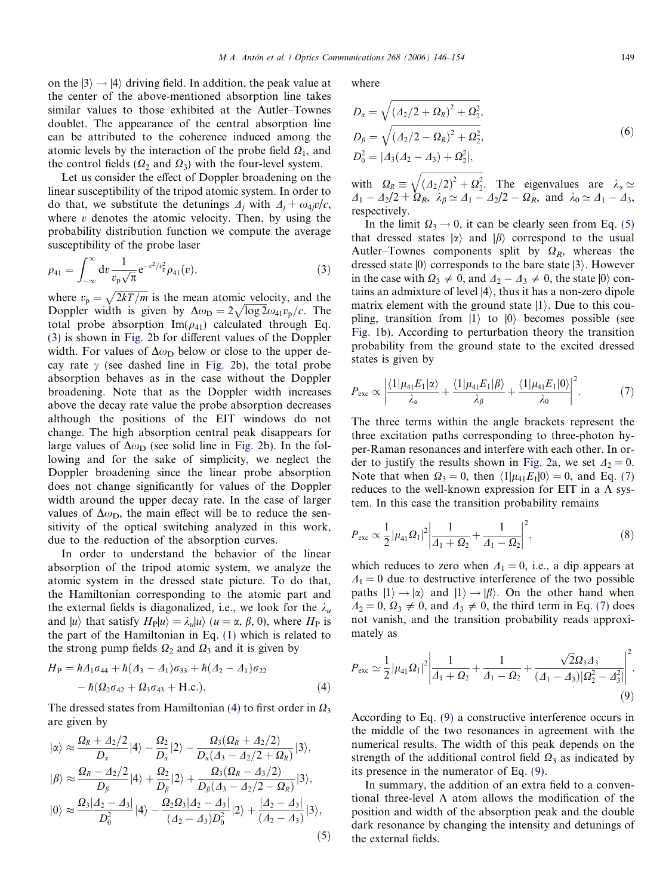on the  $|3\rangle \rightarrow |4\rangle$  driving field. In addition, the peak value at the center of the above-mentioned absorption line takes similar values to those exhibited at the Autler–Townes doublet. The appearance of the central absorption line can be attributed to the coherence induced among the atomic levels by the interaction of the probe field  $\Omega_1$ , and the control fields ( $\Omega_2$  and  $\Omega_3$ ) with the four-level system.

Let us consider the effect of Doppler broadening on the linear susceptibility of the tripod atomic system. In order to do that, we substitute the detunings  $\Delta_i$  with  $\Delta_i + \omega_{4i}v/c$ , where  $v$  denotes the atomic velocity. Then, by using the probability distribution function we compute the average susceptibility of the probe laser

$$
\rho_{41} = \int_{-\infty}^{\infty} dv \frac{1}{v_p \sqrt{\pi}} e^{-v^2/v_p^2} \rho_{41}(v), \qquad (3)
$$

where  $v_p = \sqrt{\frac{2kT}{m}}$  is the mean atomic velocity, and the Doppler width is given by  $\Delta \omega_{\text{D}} = 2 \sqrt{\log 2} \omega_{41} v_{\text{p}}/c$ . The total probe absorption  $\text{Im}(\rho_{41})$  calculated through Eq. (3) is shown in [Fig. 2b](#page-2-0) for different values of the Doppler width. For values of  $\Delta\omega_D$  below or close to the upper decay rate  $\gamma$  (see dashed line in [Fig. 2](#page-2-0)b), the total probe absorption behaves as in the case without the Doppler broadening. Note that as the Doppler width increases above the decay rate value the probe absorption decreases although the positions of the EIT windows do not change. The high absorption central peak disappears for large values of  $\Delta\omega_D$  (see solid line in [Fig. 2b](#page-2-0)). In the following and for the sake of simplicity, we neglect the Doppler broadening since the linear probe absorption does not change significantly for values of the Doppler width around the upper decay rate. In the case of larger values of  $\Delta\omega_D$ , the main effect will be to reduce the sensitivity of the optical switching analyzed in this work, due to the reduction of the absorption curves.

In order to understand the behavior of the linear absorption of the tripod atomic system, we analyze the atomic system in the dressed state picture. To do that, the Hamiltonian corresponding to the atomic part and the external fields is diagonalized, i.e., we look for the  $\lambda_u$ and  $|u\rangle$  that satisfy  $H_P|u\rangle = \lambda_u|u\rangle$   $(u = \alpha, \beta, 0)$ , where  $H_P$  is the part of the Hamiltonian in Eq. [\(1\)](#page-1-0) which is related to the strong pump fields  $\Omega_2$  and  $\Omega_3$  and it is given by

$$
H_{\rm P} = \hbar \Delta_1 \sigma_{44} + \hbar (\Delta_3 - \Delta_1) \sigma_{33} + \hbar (\Delta_2 - \Delta_1) \sigma_{22} - \hbar (\Omega_2 \sigma_{42} + \Omega_3 \sigma_{43} + \text{H.c.}).
$$
 (4)

The dressed states from Hamiltonian (4) to first order in  $\Omega_3$ are given by

$$
|\alpha\rangle \approx \frac{\Omega_R + \Delta_2/2}{D_\alpha} |4\rangle - \frac{\Omega_2}{D_\alpha} |2\rangle - \frac{\Omega_3(\Omega_R + \Delta_2/2)}{D_\alpha(\Delta_3 - \Delta_2/2 + \Omega_R)} |3\rangle,
$$
  
\n
$$
|\beta\rangle \approx \frac{\Omega_R - \Delta_2/2}{D_\beta} |4\rangle + \frac{\Omega_2}{D_\beta} |2\rangle + \frac{\Omega_3(\Omega_R - \Delta_3/2)}{D_\beta(\Delta_3 - \Delta_2/2 - \Omega_R)} |3\rangle,
$$
  
\n
$$
|0\rangle \approx \frac{\Omega_3 |\Delta_2 - \Delta_3|}{D_0^2} |4\rangle - \frac{\Omega_2 \Omega_3 |\Delta_2 - \Delta_3|}{(\Delta_2 - \Delta_3) D_0^2} |2\rangle + \frac{|\Delta_2 - \Delta_3|}{(\Delta_2 - \Delta_3)} |3\rangle,
$$
  
\n(5)

where

$$
D_{\alpha} = \sqrt{\left(\frac{A_2}{2} + \Omega_R\right)^2 + \Omega_2^2},
$$
  
\n
$$
D_{\beta} = \sqrt{\left(\frac{A_2}{2} - \Omega_R\right)^2 + \Omega_2^2},
$$
  
\n
$$
D_0^2 = |A_3(A_2 - A_3) + \Omega_2^2|,
$$
\n(6)

with  $\Omega_R \equiv$  $\begin{array}{ccc} \hline \end{array}$  $\left( \frac{\Delta_2}{2} \right)^2 + \Omega_2^2$  $\overline{a}$ . The eigenvalues are  $\lambda_{\alpha} \simeq$  $\Delta_1 - \Delta_2/2 + \Omega_R$ ,  $\lambda_\beta \simeq \Delta_1 - \Delta_2/2 - \Omega_R$ , and  $\lambda_0 \simeq \Delta_1 - \Delta_3$ , respectively.

In the limit  $\Omega_3 \rightarrow 0$ , it can be clearly seen from Eq. (5) that dressed states  $|\alpha\rangle$  and  $|\beta\rangle$  correspond to the usual Autler–Townes components split by  $\Omega_R$ , whereas the dressed state  $|0\rangle$  corresponds to the bare state  $|3\rangle$ . However in the case with  $\Omega_3 \neq 0$ , and  $\Delta_2 - \Delta_3 \neq 0$ , the state  $|0\rangle$  contains an admixture of level  $|4\rangle$ , thus it has a non-zero dipole matrix element with the ground state  $|1\rangle$ . Due to this coupling, transition from  $|1\rangle$  to  $|0\rangle$  becomes possible (see [Fig. 1b](#page-2-0)). According to perturbation theory the transition probability from the ground state to the excited dressed states is given by

$$
P_{\rm exc} \propto \left| \frac{\langle 1 | \mu_{41} E_1 | \alpha \rangle}{\lambda_{\alpha}} + \frac{\langle 1 | \mu_{41} E_1 | \beta \rangle}{\lambda_{\beta}} + \frac{\langle 1 | \mu_{41} E_1 | 0 \rangle}{\lambda_0} \right|^2. \tag{7}
$$

The three terms within the angle brackets represent the three excitation paths corresponding to three-photon hyper-Raman resonances and interfere with each other. In or-der to justify the results shown in [Fig. 2a](#page-2-0), we set  $\Delta_2 = 0$ . Note that when  $\Omega_3 = 0$ , then  $\langle 1 | \mu_{41} E_1 | 0 \rangle = 0$ , and Eq. (7) reduces to the well-known expression for EIT in a  $\Lambda$  system. In this case the transition probability remains

$$
P_{\text{exc}} \propto \frac{1}{2} |\mu_{41} \Omega_1|^2 \left| \frac{1}{\varDelta_1 + \varOmega_2} + \frac{1}{\varDelta_1 - \varOmega_2} \right|^2, \tag{8}
$$

which reduces to zero when  $\Delta_1 = 0$ , i.e., a dip appears at  $\Delta_1 = 0$  due to destructive interference of the two possible paths  $|1\rangle \rightarrow |\alpha\rangle$  and  $|1\rangle \rightarrow |\beta\rangle$ . On the other hand when  $\Delta_2 = 0$ ,  $\Omega_3 \neq 0$ , and  $\Delta_3 \neq 0$ , the third term in Eq. (7) does not vanish, and the transition probability reads approximately as

$$
P_{\text{exc}} \simeq \frac{1}{2} |\mu_{41} \Omega_1|^2 \left| \frac{1}{\Delta_1 + \Omega_2} + \frac{1}{\Delta_1 - \Omega_2} + \frac{\sqrt{2} \Omega_3 \Delta_3}{(\Delta_1 - \Delta_3) |\Omega_2^2 - \Delta_3^2|} \right|^2.
$$
\n(9)

According to Eq. (9) a constructive interference occurs in the middle of the two resonances in agreement with the numerical results. The width of this peak depends on the strength of the additional control field  $\Omega_3$  as indicated by its presence in the numerator of Eq. (9).

In summary, the addition of an extra field to a conventional three-level  $\Lambda$  atom allows the modification of the position and width of the absorption peak and the double dark resonance by changing the intensity and detunings of the external fields.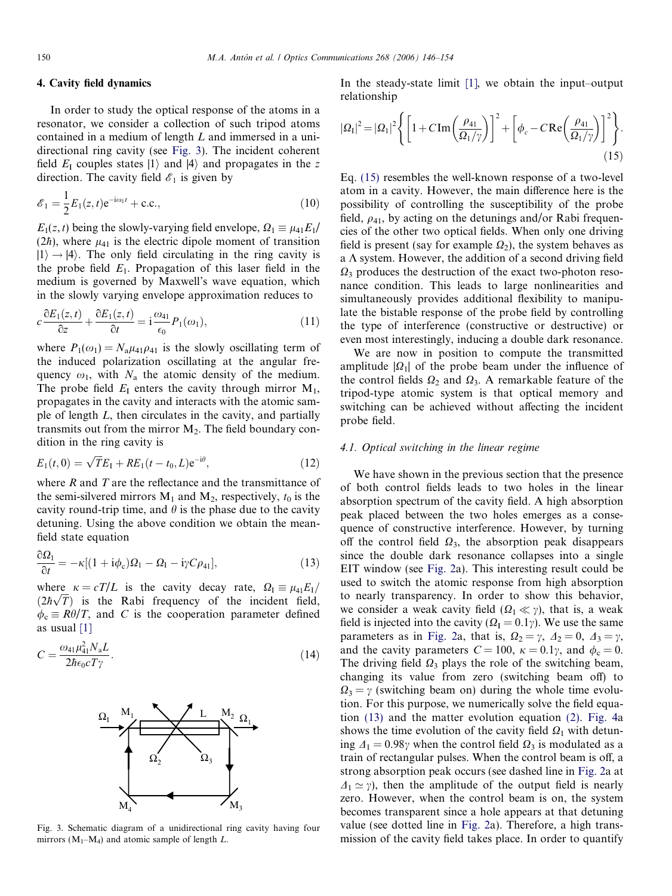# <span id="page-4-0"></span>4. Cavity field dynamics

In order to study the optical response of the atoms in a resonator, we consider a collection of such tripod atoms contained in a medium of length L and immersed in a unidirectional ring cavity (see Fig. 3). The incident coherent field  $E_1$  couples states  $|1\rangle$  and  $|4\rangle$  and propagates in the z direction. The cavity field  $\mathscr{E}_1$  is given by

$$
\mathcal{E}_1 = \frac{1}{2} E_1(z, t) e^{-i\omega_1 t} + \text{c.c.},\tag{10}
$$

 $E_1(z,t)$  being the slowly-varying field envelope,  $\Omega_1 \equiv \mu_{41}E_1/\mu_{41}$ (2h), where  $\mu_{41}$  is the electric dipole moment of transition  $|1\rangle \rightarrow |4\rangle$ . The only field circulating in the ring cavity is the probe field  $E_1$ . Propagation of this laser field in the medium is governed by Maxwell's wave equation, which in the slowly varying envelope approximation reduces to

$$
c\frac{\partial E_1(z,t)}{\partial z} + \frac{\partial E_1(z,t)}{\partial t} = \mathbf{i}\frac{\omega_{41}}{\epsilon_0}P_1(\omega_1),\tag{11}
$$

where  $P_1(\omega_1) = N_a \mu_{41} \rho_{41}$  is the slowly oscillating term of the induced polarization oscillating at the angular frequency  $\omega_1$ , with  $N_a$  the atomic density of the medium. The probe field  $E_I$  enters the cavity through mirror  $M_I$ , propagates in the cavity and interacts with the atomic sample of length  $L$ , then circulates in the cavity, and partially transmits out from the mirror  $M_2$ . The field boundary condition in the ring cavity is

$$
E_1(t,0) = \sqrt{T}E_1 + RE_1(t - t_0, L)e^{-i\theta},
$$
\n(12)

where  $R$  and  $T$  are the reflectance and the transmittance of the semi-silvered mirrors  $M_1$  and  $M_2$ , respectively,  $t_0$  is the cavity round-trip time, and  $\theta$  is the phase due to the cavity detuning. Using the above condition we obtain the meanfield state equation

$$
\frac{\partial \Omega_1}{\partial t} = -\kappa [(1 + i\phi_c)\Omega_1 - \Omega_1 - i\gamma C\rho_{41}], \qquad (13)
$$

where  $\kappa = cT/L$  is the cavity decay rate,  $\Omega_I \equiv \mu_{41}E_I/\lambda$ where  $\kappa = cT/L$  is the cavity decay rate,  $s_{21} = \mu_{41}E_{17}/(2\hbar\sqrt{T})$  is the Rabi frequency of the incident field,  $\phi_c \equiv R\theta/T$ , and C is the cooperation parameter defined as usual [\[1\]](#page-8-0)

$$
C = \frac{\omega_{41} \mu_{41}^2 N_a L}{2\hbar \epsilon_0 c T \gamma}.
$$
\n(14)



Fig. 3. Schematic diagram of a unidirectional ring cavity having four mirrors ( $M_1-M_4$ ) and atomic sample of length L.

In the steady-state limit [\[1\],](#page-8-0) we obtain the input–output relationship

$$
|\Omega_{\rm I}|^2 = |\Omega_{\rm I}|^2 \left\{ \left[1 + C \, \text{Im} \left(\frac{\rho_{4\rm I}}{\Omega_{\rm I}/\gamma}\right) \right]^2 + \left[\phi_c - C \, \text{Re} \left(\frac{\rho_{4\rm I}}{\Omega_{\rm I}/\gamma}\right) \right]^2 \right\}.
$$
\n(15)

Eq. (15) resembles the well-known response of a two-level atom in a cavity. However, the main difference here is the possibility of controlling the susceptibility of the probe field,  $\rho_{41}$ , by acting on the detunings and/or Rabi frequencies of the other two optical fields. When only one driving field is present (say for example  $\Omega_2$ ), the system behaves as a  $\Lambda$  system. However, the addition of a second driving field  $\Omega_3$  produces the destruction of the exact two-photon resonance condition. This leads to large nonlinearities and simultaneously provides additional flexibility to manipulate the bistable response of the probe field by controlling the type of interference (constructive or destructive) or even most interestingly, inducing a double dark resonance.

We are now in position to compute the transmitted amplitude  $|\Omega_1|$  of the probe beam under the influence of the control fields  $\Omega_2$  and  $\Omega_3$ . A remarkable feature of the tripod-type atomic system is that optical memory and switching can be achieved without affecting the incident probe field.

#### 4.1. Optical switching in the linear regime

We have shown in the previous section that the presence of both control fields leads to two holes in the linear absorption spectrum of the cavity field. A high absorption peak placed between the two holes emerges as a consequence of constructive interference. However, by turning off the control field  $\Omega_3$ , the absorption peak disappears since the double dark resonance collapses into a single EIT window (see [Fig. 2](#page-2-0)a). This interesting result could be used to switch the atomic response from high absorption to nearly transparency. In order to show this behavior, we consider a weak cavity field  $(\Omega_1 \ll \gamma)$ , that is, a weak field is injected into the cavity ( $\Omega_{\rm I} = 0.1\gamma$ ). We use the same parameters as in [Fig. 2](#page-2-0)a, that is,  $\Omega_2 = \gamma$ ,  $\Delta_2 = 0$ ,  $\Delta_3 = \gamma$ , and the cavity parameters  $C = 100$ ,  $\kappa = 0.1\gamma$ , and  $\phi_c = 0$ . The driving field  $\Omega_3$  plays the role of the switching beam, changing its value from zero (switching beam off) to  $\Omega_3 = \gamma$  (switching beam on) during the whole time evolution. For this purpose, we numerically solve the field equation (13) and the matter evolution equation [\(2\).](#page-1-0) [Fig. 4a](#page-5-0) shows the time evolution of the cavity field  $\Omega_1$  with detuning  $\Delta_1 = 0.98\gamma$  when the control field  $\Omega_3$  is modulated as a train of rectangular pulses. When the control beam is off, a strong absorption peak occurs (see dashed line in [Fig. 2a](#page-2-0) at  $\Delta_1 \simeq \gamma$ ), then the amplitude of the output field is nearly zero. However, when the control beam is on, the system becomes transparent since a hole appears at that detuning value (see dotted line in [Fig. 2](#page-2-0)a). Therefore, a high transmission of the cavity field takes place. In order to quantify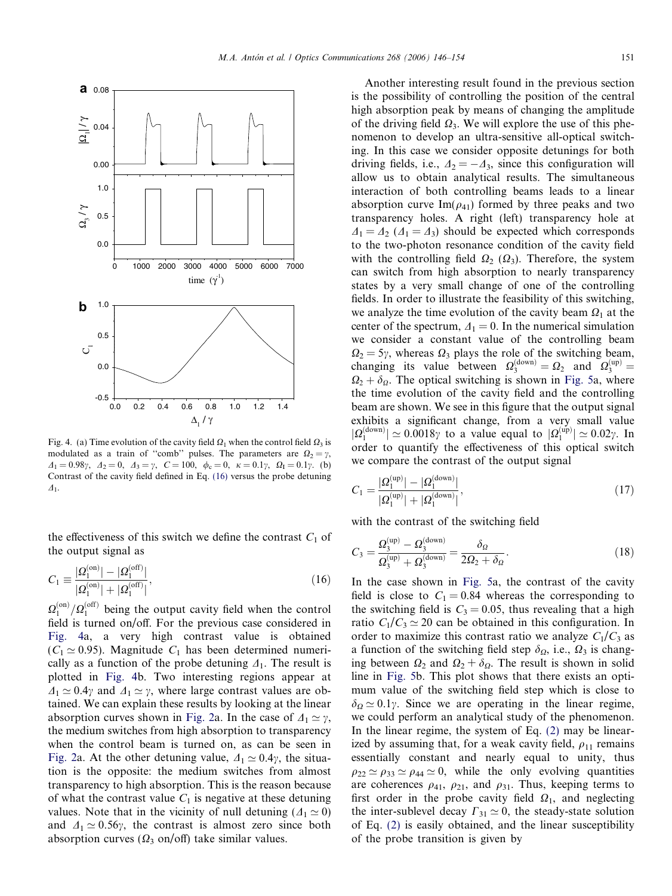<span id="page-5-0"></span>

Fig. 4. (a) Time evolution of the cavity field  $\Omega_1$  when the control field  $\Omega_3$  is modulated as a train of "comb" pulses. The parameters are  $\Omega_2 = \gamma$ ,  $\Delta_1 = 0.98\gamma$ ,  $\Delta_2 = 0$ ,  $\Delta_3 = \gamma$ ,  $C = 100$ ,  $\phi_c = 0$ ,  $\kappa = 0.1\gamma$ ,  $\Omega_I = 0.1\gamma$ . (b) Contrast of the cavity field defined in Eq. (16) versus the probe detuning  $\Delta$ <sub>1</sub>.

the effectiveness of this switch we define the contrast  $C_1$  of the output signal as

$$
C_1 \equiv \frac{|\Omega_1^{(\text{on})}| - |\Omega_1^{(\text{off})}|}{|\Omega_1^{(\text{on})}| + |\Omega_1^{(\text{off})}|},\tag{16}
$$

 $\Omega_1^{\text{(on)}}/\Omega_1^{\text{(off)}}$  being the output cavity field when the control field is turned on/off. For the previous case considered in Fig. 4a, a very high contrast value is obtained  $(C_1 \approx 0.95)$ . Magnitude  $C_1$  has been determined numerically as a function of the probe detuning  $\Delta_1$ . The result is plotted in Fig. 4b. Two interesting regions appear at  $\Delta_1 \simeq 0.4\gamma$  and  $\Delta_1 \simeq \gamma$ , where large contrast values are obtained. We can explain these results by looking at the linear absorption curves shown in [Fig. 2](#page-2-0)a. In the case of  $\Delta_1 \simeq \gamma$ , the medium switches from high absorption to transparency when the control beam is turned on, as can be seen in [Fig. 2](#page-2-0)a. At the other detuning value,  $\Delta_1 \simeq 0.4\gamma$ , the situation is the opposite: the medium switches from almost transparency to high absorption. This is the reason because of what the contrast value  $C_1$  is negative at these detuning values. Note that in the vicinity of null detuning ( $\Delta_1 \simeq 0$ ) and  $\Delta_1 \simeq 0.56\gamma$ , the contrast is almost zero since both absorption curves ( $\Omega_3$  on/off) take similar values.

Another interesting result found in the previous section is the possibility of controlling the position of the central high absorption peak by means of changing the amplitude of the driving field  $\Omega_3$ . We will explore the use of this phenomenon to develop an ultra-sensitive all-optical switching. In this case we consider opposite detunings for both driving fields, i.e.,  $\Delta_2 = -\Delta_3$ , since this configuration will allow us to obtain analytical results. The simultaneous interaction of both controlling beams leads to a linear absorption curve Im( $\rho_{41}$ ) formed by three peaks and two transparency holes. A right (left) transparency hole at  $\Delta_1 = \Delta_2$  ( $\Delta_1 = \Delta_3$ ) should be expected which corresponds to the two-photon resonance condition of the cavity field with the controlling field  $\Omega_2$  ( $\Omega_3$ ). Therefore, the system can switch from high absorption to nearly transparency states by a very small change of one of the controlling fields. In order to illustrate the feasibility of this switching, we analyze the time evolution of the cavity beam  $\Omega_1$  at the center of the spectrum,  $\Delta_1 = 0$ . In the numerical simulation we consider a constant value of the controlling beam  $\Omega_2 = 5\gamma$ , whereas  $\Omega_3$  plays the role of the switching beam, changing its value between  $\Omega_3^{(\text{down})} = \Omega_2$  and  $\Omega_3^{(\text{up})} =$  $\Omega_2 + \delta_{\Omega}$ . The optical switching is shown in [Fig. 5](#page-6-0)a, where the time evolution of the cavity field and the controlling beam are shown. We see in this figure that the output signal exhibits a significant change, from a very small value  $|\Omega_1^{(\text{down})}| \simeq 0.0018\gamma$  to a value equal to  $|\Omega_1^{(\text{up})}| \simeq 0.02\gamma$ . In order to quantify the effectiveness of this optical switch we compare the contrast of the output signal

$$
C_1 = \frac{|\Omega_1^{(\text{up})}| - |\Omega_1^{(\text{down})}|}{|\Omega_1^{(\text{up})}| + |\Omega_1^{(\text{down})}|},\tag{17}
$$

with the contrast of the switching field

$$
C_3 = \frac{\Omega_3^{(\text{up})} - \Omega_3^{(\text{down})}}{\Omega_3^{(\text{up})} + \Omega_3^{(\text{down})}} = \frac{\delta_{\Omega}}{2\Omega_2 + \delta_{\Omega}}.
$$
\n(18)

In the case shown in [Fig. 5a](#page-6-0), the contrast of the cavity field is close to  $C_1 = 0.84$  whereas the corresponding to the switching field is  $C_3 = 0.05$ , thus revealing that a high ratio  $C_1/C_3 \simeq 20$  can be obtained in this configuration. In order to maximize this contrast ratio we analyze  $C_1/C_3$  as a function of the switching field step  $\delta_{\Omega}$ , i.e.,  $\Omega_3$  is changing between  $\Omega_2$  and  $\Omega_2 + \delta_{\Omega}$ . The result is shown in solid line in [Fig. 5b](#page-6-0). This plot shows that there exists an optimum value of the switching field step which is close to  $\delta_{\Omega} \simeq 0.1\gamma$ . Since we are operating in the linear regime, we could perform an analytical study of the phenomenon. In the linear regime, the system of Eq. [\(2\)](#page-1-0) may be linearized by assuming that, for a weak cavity field,  $\rho_{11}$  remains essentially constant and nearly equal to unity, thus  $\rho_{22} \simeq \rho_{33} \simeq \rho_{44} \simeq 0$ , while the only evolving quantities are coherences  $\rho_{41}$ ,  $\rho_{21}$ , and  $\rho_{31}$ . Thus, keeping terms to first order in the probe cavity field  $\Omega_1$ , and neglecting the inter-sublevel decay  $\Gamma_{31} \simeq 0$ , the steady-state solution of Eq. [\(2\)](#page-1-0) is easily obtained, and the linear susceptibility of the probe transition is given by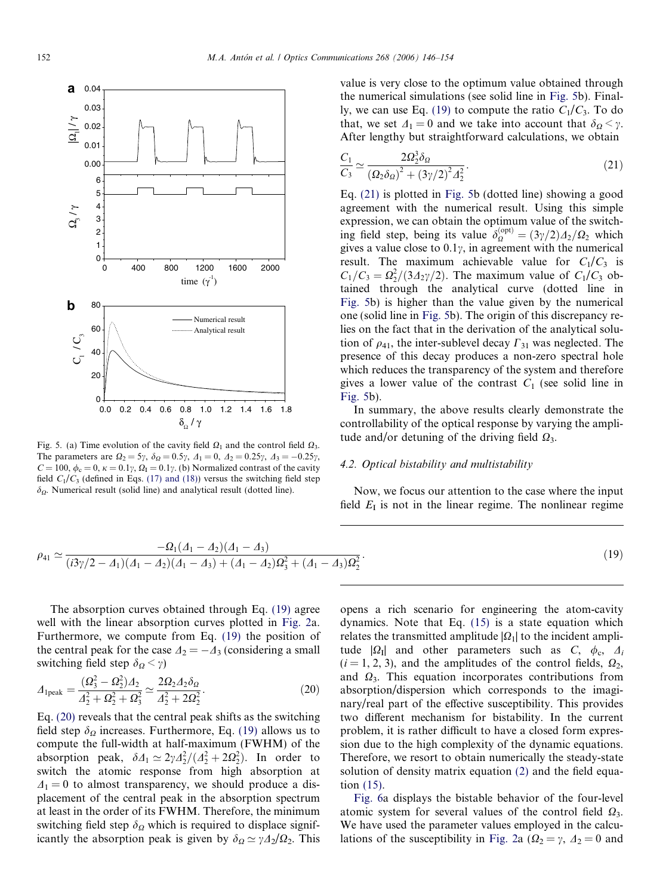<span id="page-6-0"></span>

Fig. 5. (a) Time evolution of the cavity field  $\Omega_1$  and the control field  $\Omega_3$ . The parameters are  $\Omega_2 = 5\gamma$ ,  $\delta_{\Omega} = 0.5\gamma$ ,  $\Delta_1 = 0$ ,  $\Delta_2 = 0.25\gamma$ ,  $\Delta_3 = -0.25\gamma$ ,  $C = 100$ ,  $\phi_c = 0$ ,  $\kappa = 0.1\gamma$ ,  $\Omega_I = 0.1\gamma$ . (b) Normalized contrast of the cavity field  $C_1/C_3$  (defined in Eqs. [\(17\) and \(18\)](#page-5-0)) versus the switching field step  $\delta_{\Omega}$ . Numerical result (solid line) and analytical result (dotted line).

value is very close to the optimum value obtained through  
the numerical simulations (see solid line in Fig. 5b). Final-  
ly, we can use Eq. (19) to compute the ratio 
$$
C_1/C_3
$$
. To do  
that, we set  $\Delta_1 = 0$  and we take into account that  $\delta_{\Omega} < \gamma$ .  
After lengthy but straightforward calculations, we obtain

$$
\frac{C_1}{C_3} \simeq \frac{2\Omega_2^3 \delta_{\Omega}}{(\Omega_2 \delta_{\Omega})^2 + (\beta \gamma/2)^2 \Delta_2^2}.
$$
\n(21)

Eq. (21) is plotted in Fig. 5b (dotted line) showing a good agreement with the numerical result. Using this simple expression, we can obtain the optimum value of the switching field step, being its value  $\delta_{\Omega}^{(\text{opt})} = (3\gamma/2) \frac{A_2}{\Omega_2}$  which gives a value close to  $0.1\gamma$ , in agreement with the numerical result. The maximum achievable value for  $C_1/C_3$  is  $C_1/C_3 = \frac{\Omega_2^2}{3\Delta_2\gamma/2}$ . The maximum value of  $C_1/C_3$  obtained through the analytical curve (dotted line in Fig. 5b) is higher than the value given by the numerical one (solid line in Fig. 5b). The origin of this discrepancy relies on the fact that in the derivation of the analytical solution of  $\rho_{41}$ , the inter-sublevel decay  $\Gamma_{31}$  was neglected. The presence of this decay produces a non-zero spectral hole which reduces the transparency of the system and therefore gives a lower value of the contrast  $C_1$  (see solid line in Fig. 5b).

In summary, the above results clearly demonstrate the controllability of the optical response by varying the amplitude and/or detuning of the driving field  $\Omega_3$ .

#### 4.2. Optical bistability and multistability

Now, we focus our attention to the case where the input field  $E<sub>I</sub>$  is not in the linear regime. The nonlinear regime

$$
\rho_{41} \simeq \frac{-\Omega_1(\Lambda_1 - \Lambda_2)(\Lambda_1 - \Lambda_3)}{(i3\gamma/2 - \Lambda_1)(\Lambda_1 - \Lambda_2)(\Lambda_1 - \Lambda_3) + (\Lambda_1 - \Lambda_2)\Omega_3^2 + (\Lambda_1 - \Lambda_3)\Omega_2^2}.
$$
\n(19)

The absorption curves obtained through Eq. (19) agree well with the linear absorption curves plotted in [Fig. 2](#page-2-0)a. Furthermore, we compute from Eq. (19) the position of the central peak for the case  $\Lambda_2 = -\Lambda_3$  (considering a small switching field step  $\delta_{\Omega} < \gamma$ )

$$
\varDelta_{1\text{peak}} = \frac{(\Omega_3^2 - \Omega_2^2) \varDelta_2}{\varDelta_2^2 + \Omega_2^2 + \Omega_3^2} \simeq \frac{2\Omega_2 \varDelta_2 \delta_0}{\varDelta_2^2 + 2\Omega_2^2}.
$$
\n(20)

Eq. (20) reveals that the central peak shifts as the switching field step  $\delta_{\Omega}$  increases. Furthermore, Eq. (19) allows us to compute the full-width at half-maximum (FWHM) of the absorption peak,  $\delta A_1 \simeq 2\gamma A_2^2/(A_2^2 + 2\Omega_2^2)$ . In order to switch the atomic response from high absorption at  $\Delta_1 = 0$  to almost transparency, we should produce a displacement of the central peak in the absorption spectrum at least in the order of its FWHM. Therefore, the minimum switching field step  $\delta_{\Omega}$  which is required to displace significantly the absorption peak is given by  $\delta_{\Omega} \simeq \gamma \Delta_2/\Omega_2$ . This opens a rich scenario for engineering the atom-cavity dynamics. Note that Eq. [\(15\)](#page-4-0) is a state equation which relates the transmitted amplitude  $|\Omega_1|$  to the incident amplitude  $|\Omega_{I}|$  and other parameters such as C,  $\phi_c$ ,  $\Delta_i$  $(i = 1, 2, 3)$ , and the amplitudes of the control fields,  $\Omega_2$ , and  $\Omega_3$ . This equation incorporates contributions from absorption/dispersion which corresponds to the imaginary/real part of the effective susceptibility. This provides two different mechanism for bistability. In the current problem, it is rather difficult to have a closed form expression due to the high complexity of the dynamic equations. Therefore, we resort to obtain numerically the steady-state solution of density matrix equation [\(2\)](#page-1-0) and the field equation [\(15\).](#page-4-0)

[Fig. 6a](#page-7-0) displays the bistable behavior of the four-level atomic system for several values of the control field  $\Omega_3$ . We have used the parameter values employed in the calcu-lations of the susceptibility in [Fig. 2](#page-2-0)a ( $\Omega_2 = \gamma$ ,  $\Delta_2 = 0$  and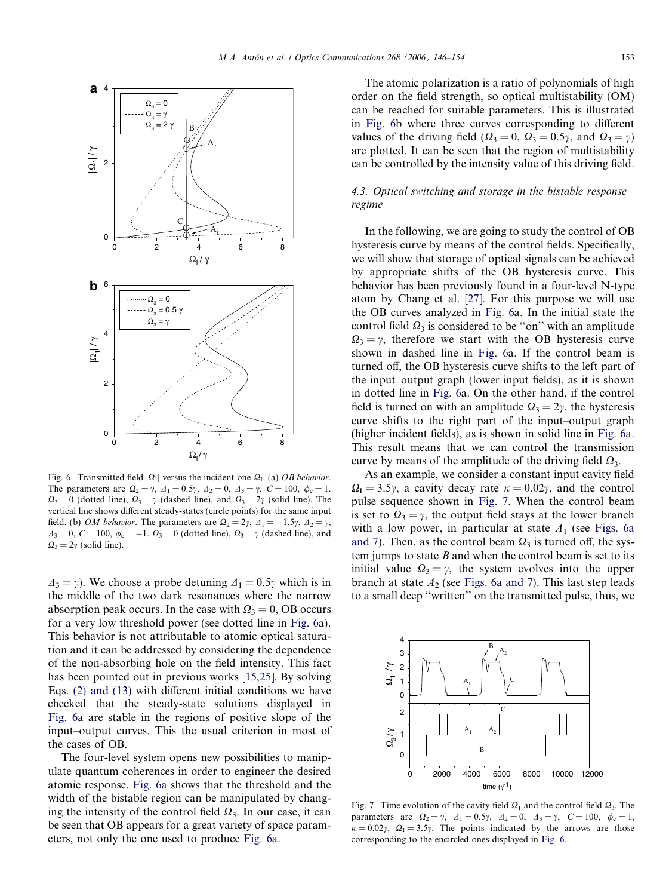<span id="page-7-0"></span>

Fig. 6. Transmitted field  $|\Omega_1|$  versus the incident one  $\Omega_1$ . (a) *OB behavior*. The parameters are  $\Omega_2 = \gamma$ ,  $\Delta_1 = 0.5\gamma$ ,  $\Delta_2 = 0$ ,  $\Delta_3 = \gamma$ ,  $C = 100$ ,  $\phi_c = 1$ .  $\Omega_3 = 0$  (dotted line),  $\Omega_3 = \gamma$  (dashed line), and  $\Omega_3 = 2\gamma$  (solid line). The vertical line shows different steady-states (circle points) for the same input field. (b) *OM behavior*. The parameters are  $\Omega_2 = 2\gamma$ ,  $\Lambda_1 = -1.5\gamma$ ,  $\Lambda_2 = \gamma$ ,  $\Delta_3 = 0$ ,  $C = 100$ ,  $\phi_c = -1$ .  $\Omega_3 = 0$  (dotted line),  $\Omega_3 = \gamma$  (dashed line), and  $\Omega_3 = 2\gamma$  (solid line).

 $\Delta_3 = \gamma$ ). We choose a probe detuning  $\Delta_1 = 0.5\gamma$  which is in the middle of the two dark resonances where the narrow absorption peak occurs. In the case with  $\Omega_3 = 0$ , OB occurs for a very low threshold power (see dotted line in Fig. 6a). This behavior is not attributable to atomic optical saturation and it can be addressed by considering the dependence of the non-absorbing hole on the field intensity. This fact has been pointed out in previous works [\[15,25\].](#page-8-0) By solving Eqs. [\(2\) and \(13\)](#page-1-0) with different initial conditions we have checked that the steady-state solutions displayed in Fig. 6a are stable in the regions of positive slope of the input–output curves. This the usual criterion in most of the cases of OB.

The four-level system opens new possibilities to manipulate quantum coherences in order to engineer the desired atomic response. Fig. 6a shows that the threshold and the width of the bistable region can be manipulated by changing the intensity of the control field  $\Omega_3$ . In our case, it can be seen that OB appears for a great variety of space parameters, not only the one used to produce Fig. 6a.

The atomic polarization is a ratio of polynomials of high order on the field strength, so optical multistability (OM) can be reached for suitable parameters. This is illustrated in Fig. 6b where three curves corresponding to different values of the driving field ( $\Omega_3 = 0$ ,  $\Omega_3 = 0.5\gamma$ , and  $\Omega_3 = \gamma$ ) are plotted. It can be seen that the region of multistability can be controlled by the intensity value of this driving field.

# 4.3. Optical switching and storage in the bistable response regime

In the following, we are going to study the control of OB hysteresis curve by means of the control fields. Specifically, we will show that storage of optical signals can be achieved by appropriate shifts of the OB hysteresis curve. This behavior has been previously found in a four-level N-type atom by Chang et al. [\[27\].](#page-8-0) For this purpose we will use the OB curves analyzed in Fig. 6a. In the initial state the control field  $\Omega_3$  is considered to be "on" with an amplitude  $\Omega_3 = \gamma$ , therefore we start with the OB hysteresis curve shown in dashed line in Fig. 6a. If the control beam is turned off, the OB hysteresis curve shifts to the left part of the input–output graph (lower input fields), as it is shown in dotted line in Fig. 6a. On the other hand, if the control field is turned on with an amplitude  $\Omega_3 = 2\gamma$ , the hysteresis curve shifts to the right part of the input–output graph (higher incident fields), as is shown in solid line in Fig. 6a. This result means that we can control the transmission curve by means of the amplitude of the driving field  $\Omega_3$ .

As an example, we consider a constant input cavity field  $\Omega_{\rm I} = 3.5\gamma$ , a cavity decay rate  $\kappa = 0.02\gamma$ , and the control pulse sequence shown in Fig. 7. When the control beam is set to  $\Omega_3 = \gamma$ , the output field stays at the lower branch with a low power, in particular at state  $A_1$  (see Figs. 6a and 7). Then, as the control beam  $\Omega_3$  is turned off, the system jumps to state  $B$  and when the control beam is set to its initial value  $\Omega_3 = \gamma$ , the system evolves into the upper branch at state  $A_2$  (see Figs. 6a and 7). This last step leads to a small deep ''written'' on the transmitted pulse, thus, we



Fig. 7. Time evolution of the cavity field  $\Omega_1$  and the control field  $\Omega_3$ . The parameters are  $\Omega_2 = \gamma$ ,  $\Delta_1 = 0.5\gamma$ ,  $\Delta_2 = 0$ ,  $\Delta_3 = \gamma$ ,  $C = 100$ ,  $\phi_c = 1$ ,  $\kappa = 0.02\gamma$ ,  $\Omega_{\rm I} = 3.5\gamma$ . The points indicated by the arrows are those corresponding to the encircled ones displayed in Fig. 6.